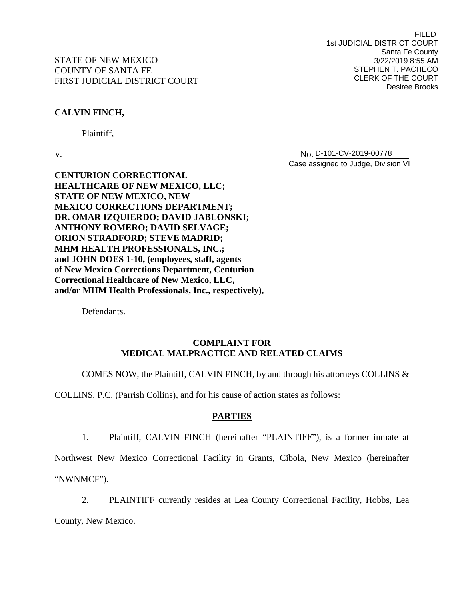# **CALVIN FINCH,**

Plaintiff,

v. No. N<sub>O.</sub> D-101-CV-2019-00778 Case assigned to Judge, Division VI

**CENTURION CORRECTIONAL HEALTHCARE OF NEW MEXICO, LLC; STATE OF NEW MEXICO, NEW MEXICO CORRECTIONS DEPARTMENT; DR. OMAR IZQUIERDO; DAVID JABLONSKI; ANTHONY ROMERO; DAVID SELVAGE; ORION STRADFORD; STEVE MADRID; MHM HEALTH PROFESSIONALS, INC.; and JOHN DOES 1-10, (employees, staff, agents of New Mexico Corrections Department, Centurion Correctional Healthcare of New Mexico, LLC, and/or MHM Health Professionals, Inc., respectively),**

Defendants.

### **COMPLAINT FOR MEDICAL MALPRACTICE AND RELATED CLAIMS**

COMES NOW, the Plaintiff, CALVIN FINCH, by and through his attorneys COLLINS  $\&$ 

COLLINS, P.C. (Parrish Collins), and for his cause of action states as follows:

# **PARTIES**

1. Plaintiff, CALVIN FINCH (hereinafter "PLAINTIFF"), is a former inmate at

Northwest New Mexico Correctional Facility in Grants, Cibola, New Mexico (hereinafter "NWNMCF").

2. PLAINTIFF currently resides at Lea County Correctional Facility, Hobbs, Lea County, New Mexico.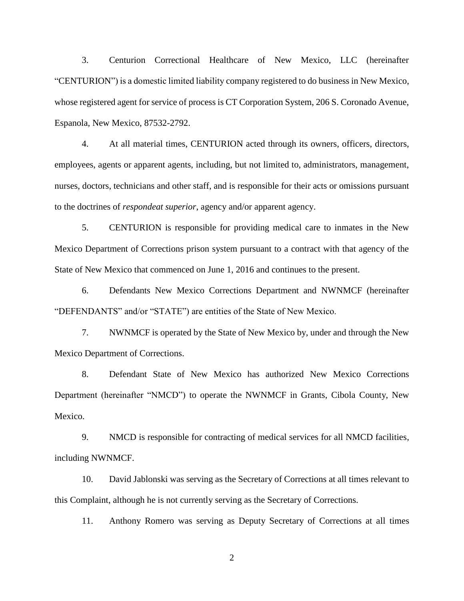3. Centurion Correctional Healthcare of New Mexico, LLC (hereinafter "CENTURION") is a domestic limited liability company registered to do business in New Mexico, whose registered agent for service of process is CT Corporation System, 206 S. Coronado Avenue, Espanola, New Mexico, 87532-2792.

4. At all material times, CENTURION acted through its owners, officers, directors, employees, agents or apparent agents, including, but not limited to, administrators, management, nurses, doctors, technicians and other staff, and is responsible for their acts or omissions pursuant to the doctrines of *respondeat superior*, agency and/or apparent agency.

5. CENTURION is responsible for providing medical care to inmates in the New Mexico Department of Corrections prison system pursuant to a contract with that agency of the State of New Mexico that commenced on June 1, 2016 and continues to the present.

6. Defendants New Mexico Corrections Department and NWNMCF (hereinafter "DEFENDANTS" and/or "STATE") are entities of the State of New Mexico.

7. NWNMCF is operated by the State of New Mexico by, under and through the New Mexico Department of Corrections.

8. Defendant State of New Mexico has authorized New Mexico Corrections Department (hereinafter "NMCD") to operate the NWNMCF in Grants, Cibola County, New Mexico.

9. NMCD is responsible for contracting of medical services for all NMCD facilities, including NWNMCF.

10. David Jablonski was serving as the Secretary of Corrections at all times relevant to this Complaint, although he is not currently serving as the Secretary of Corrections.

11. Anthony Romero was serving as Deputy Secretary of Corrections at all times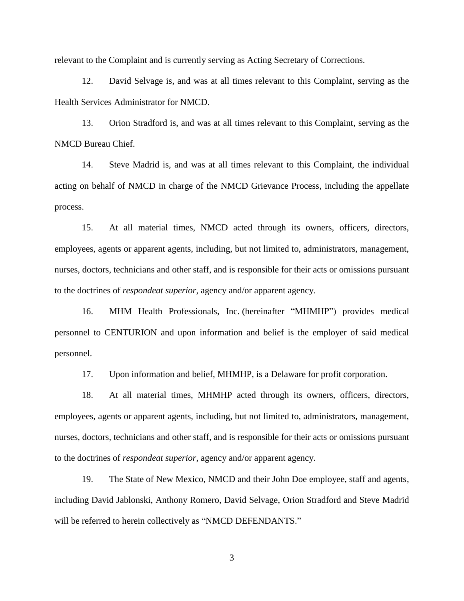relevant to the Complaint and is currently serving as Acting Secretary of Corrections.

12. David Selvage is, and was at all times relevant to this Complaint, serving as the Health Services Administrator for NMCD.

13. Orion Stradford is, and was at all times relevant to this Complaint, serving as the NMCD Bureau Chief.

14. Steve Madrid is, and was at all times relevant to this Complaint, the individual acting on behalf of NMCD in charge of the NMCD Grievance Process, including the appellate process.

15. At all material times, NMCD acted through its owners, officers, directors, employees, agents or apparent agents, including, but not limited to, administrators, management, nurses, doctors, technicians and other staff, and is responsible for their acts or omissions pursuant to the doctrines of *respondeat superior*, agency and/or apparent agency.

16. MHM Health Professionals, Inc. (hereinafter "MHMHP") provides medical personnel to CENTURION and upon information and belief is the employer of said medical personnel.

17. Upon information and belief, MHMHP, is a Delaware for profit corporation.

18. At all material times, MHMHP acted through its owners, officers, directors, employees, agents or apparent agents, including, but not limited to, administrators, management, nurses, doctors, technicians and other staff, and is responsible for their acts or omissions pursuant to the doctrines of *respondeat superior*, agency and/or apparent agency.

19. The State of New Mexico, NMCD and their John Doe employee, staff and agents, including David Jablonski, Anthony Romero, David Selvage, Orion Stradford and Steve Madrid will be referred to herein collectively as "NMCD DEFENDANTS."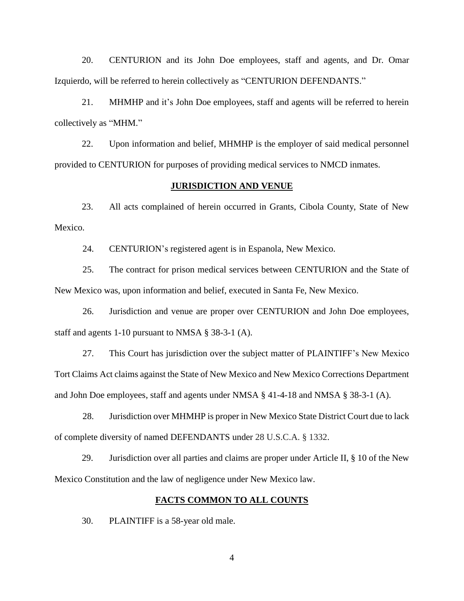20. CENTURION and its John Doe employees, staff and agents, and Dr. Omar Izquierdo, will be referred to herein collectively as "CENTURION DEFENDANTS."

21. MHMHP and it's John Doe employees, staff and agents will be referred to herein collectively as "MHM."

22. Upon information and belief, MHMHP is the employer of said medical personnel provided to CENTURION for purposes of providing medical services to NMCD inmates.

#### **JURISDICTION AND VENUE**

23. All acts complained of herein occurred in Grants, Cibola County, State of New Mexico.

24. CENTURION's registered agent is in Espanola, New Mexico.

25. The contract for prison medical services between CENTURION and the State of New Mexico was, upon information and belief, executed in Santa Fe, New Mexico.

26. Jurisdiction and venue are proper over CENTURION and John Doe employees, staff and agents 1-10 pursuant to NMSA § 38-3-1 (A).

27. This Court has jurisdiction over the subject matter of PLAINTIFF's New Mexico Tort Claims Act claims against the State of New Mexico and New Mexico Corrections Department and John Doe employees, staff and agents under NMSA § 41-4-18 and NMSA § 38-3-1 (A).

28. Jurisdiction over MHMHP is proper in New Mexico State District Court due to lack of complete diversity of named DEFENDANTS under 28 U.S.C.A. § 1332.

29. Jurisdiction over all parties and claims are proper under Article II, § 10 of the New Mexico Constitution and the law of negligence under New Mexico law.

#### **FACTS COMMON TO ALL COUNTS**

30. PLAINTIFF is a 58-year old male.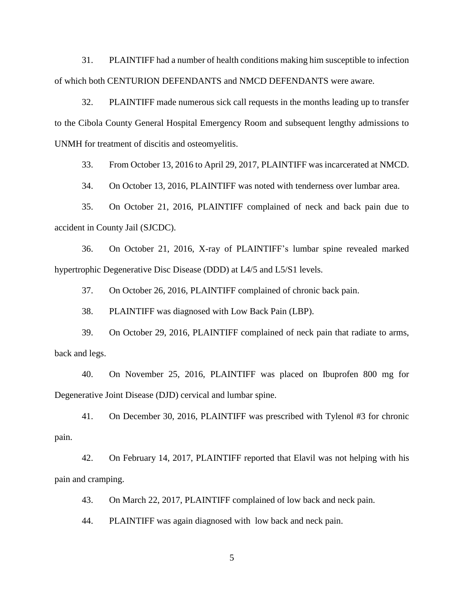31. PLAINTIFF had a number of health conditions making him susceptible to infection of which both CENTURION DEFENDANTS and NMCD DEFENDANTS were aware.

32. PLAINTIFF made numerous sick call requests in the months leading up to transfer to the Cibola County General Hospital Emergency Room and subsequent lengthy admissions to UNMH for treatment of discitis and osteomyelitis.

33. From October 13, 2016 to April 29, 2017, PLAINTIFF was incarcerated at NMCD.

34. On October 13, 2016, PLAINTIFF was noted with tenderness over lumbar area.

35. On October 21, 2016, PLAINTIFF complained of neck and back pain due to accident in County Jail (SJCDC).

36. On October 21, 2016, X-ray of PLAINTIFF's lumbar spine revealed marked hypertrophic Degenerative Disc Disease (DDD) at L4/5 and L5/S1 levels.

37. On October 26, 2016, PLAINTIFF complained of chronic back pain.

38. PLAINTIFF was diagnosed with Low Back Pain (LBP).

39. On October 29, 2016, PLAINTIFF complained of neck pain that radiate to arms, back and legs.

40. On November 25, 2016, PLAINTIFF was placed on Ibuprofen 800 mg for Degenerative Joint Disease (DJD) cervical and lumbar spine.

41. On December 30, 2016, PLAINTIFF was prescribed with Tylenol #3 for chronic pain.

42. On February 14, 2017, PLAINTIFF reported that Elavil was not helping with his pain and cramping.

43. On March 22, 2017, PLAINTIFF complained of low back and neck pain.

44. PLAINTIFF was again diagnosed with low back and neck pain.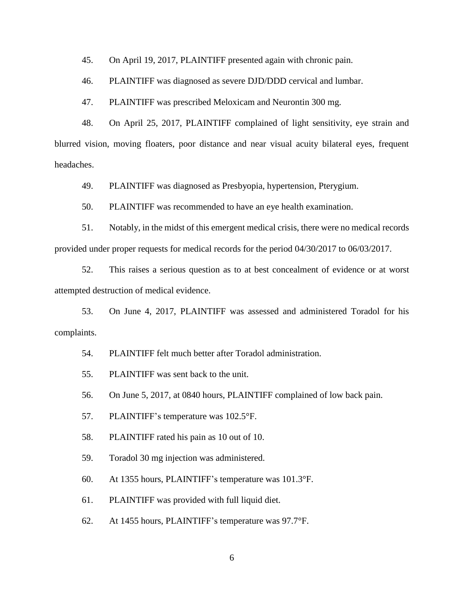45. On April 19, 2017, PLAINTIFF presented again with chronic pain.

46. PLAINTIFF was diagnosed as severe DJD/DDD cervical and lumbar.

47. PLAINTIFF was prescribed Meloxicam and Neurontin 300 mg.

48. On April 25, 2017, PLAINTIFF complained of light sensitivity, eye strain and blurred vision, moving floaters, poor distance and near visual acuity bilateral eyes, frequent headaches.

49. PLAINTIFF was diagnosed as Presbyopia, hypertension, Pterygium.

50. PLAINTIFF was recommended to have an eye health examination.

51. Notably, in the midst of this emergent medical crisis, there were no medical records provided under proper requests for medical records for the period 04/30/2017 to 06/03/2017.

52. This raises a serious question as to at best concealment of evidence or at worst attempted destruction of medical evidence.

53. On June 4, 2017, PLAINTIFF was assessed and administered Toradol for his complaints.

54. PLAINTIFF felt much better after Toradol administration.

55. PLAINTIFF was sent back to the unit.

56. On June 5, 2017, at 0840 hours, PLAINTIFF complained of low back pain.

57. PLAINTIFF's temperature was 102.5°F.

58. PLAINTIFF rated his pain as 10 out of 10.

59. Toradol 30 mg injection was administered.

60. At 1355 hours, PLAINTIFF's temperature was 101.3°F.

61. PLAINTIFF was provided with full liquid diet.

62. At 1455 hours, PLAINTIFF's temperature was 97.7°F.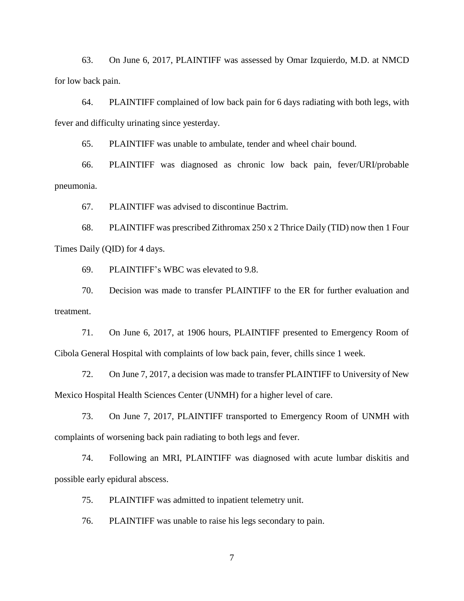63. On June 6, 2017, PLAINTIFF was assessed by Omar Izquierdo, M.D. at NMCD for low back pain.

64. PLAINTIFF complained of low back pain for 6 days radiating with both legs, with fever and difficulty urinating since yesterday.

65. PLAINTIFF was unable to ambulate, tender and wheel chair bound.

66. PLAINTIFF was diagnosed as chronic low back pain, fever/URI/probable pneumonia.

67. PLAINTIFF was advised to discontinue Bactrim.

68. PLAINTIFF was prescribed Zithromax 250 x 2 Thrice Daily (TID) now then 1 Four Times Daily (QID) for 4 days.

69. PLAINTIFF's WBC was elevated to 9.8.

70. Decision was made to transfer PLAINTIFF to the ER for further evaluation and treatment.

71. On June 6, 2017, at 1906 hours, PLAINTIFF presented to Emergency Room of Cibola General Hospital with complaints of low back pain, fever, chills since 1 week.

72. On June 7, 2017, a decision was made to transfer PLAINTIFF to University of New Mexico Hospital Health Sciences Center (UNMH) for a higher level of care.

73. On June 7, 2017, PLAINTIFF transported to Emergency Room of UNMH with complaints of worsening back pain radiating to both legs and fever.

74. Following an MRI, PLAINTIFF was diagnosed with acute lumbar diskitis and possible early epidural abscess.

75. PLAINTIFF was admitted to inpatient telemetry unit.

76. PLAINTIFF was unable to raise his legs secondary to pain.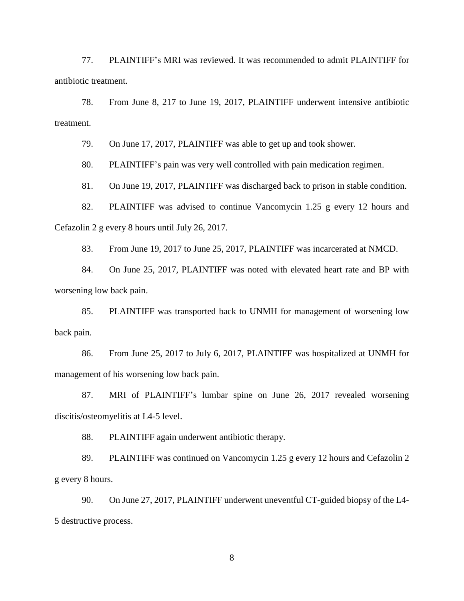77. PLAINTIFF's MRI was reviewed. It was recommended to admit PLAINTIFF for antibiotic treatment.

78. From June 8, 217 to June 19, 2017, PLAINTIFF underwent intensive antibiotic treatment.

79. On June 17, 2017, PLAINTIFF was able to get up and took shower.

80. PLAINTIFF's pain was very well controlled with pain medication regimen.

81. On June 19, 2017, PLAINTIFF was discharged back to prison in stable condition.

82. PLAINTIFF was advised to continue Vancomycin 1.25 g every 12 hours and Cefazolin 2 g every 8 hours until July 26, 2017.

83. From June 19, 2017 to June 25, 2017, PLAINTIFF was incarcerated at NMCD.

84. On June 25, 2017, PLAINTIFF was noted with elevated heart rate and BP with worsening low back pain.

85. PLAINTIFF was transported back to UNMH for management of worsening low back pain.

86. From June 25, 2017 to July 6, 2017, PLAINTIFF was hospitalized at UNMH for management of his worsening low back pain.

87. MRI of PLAINTIFF's lumbar spine on June 26, 2017 revealed worsening discitis/osteomyelitis at L4-5 level.

88. PLAINTIFF again underwent antibiotic therapy.

89. PLAINTIFF was continued on Vancomycin 1.25 g every 12 hours and Cefazolin 2 g every 8 hours.

90. On June 27, 2017, PLAINTIFF underwent uneventful CT-guided biopsy of the L4- 5 destructive process.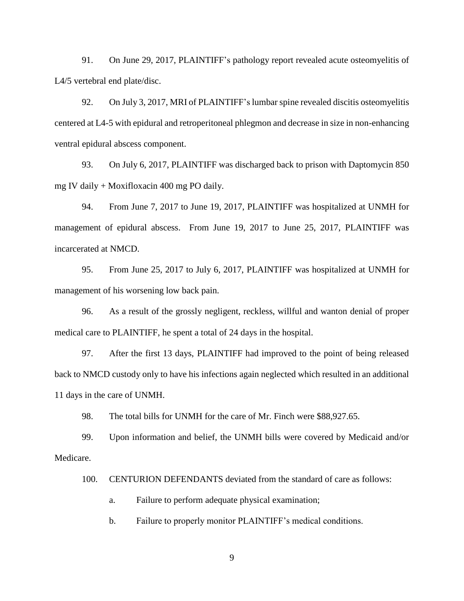91. On June 29, 2017, PLAINTIFF's pathology report revealed acute osteomyelitis of L4/5 vertebral end plate/disc.

92. On July 3, 2017, MRI of PLAINTIFF's lumbar spine revealed discitis osteomyelitis centered at L4-5 with epidural and retroperitoneal phlegmon and decrease in size in non-enhancing ventral epidural abscess component.

93. On July 6, 2017, PLAINTIFF was discharged back to prison with Daptomycin 850 mg IV daily + Moxifloxacin 400 mg PO daily.

94. From June 7, 2017 to June 19, 2017, PLAINTIFF was hospitalized at UNMH for management of epidural abscess. From June 19, 2017 to June 25, 2017, PLAINTIFF was incarcerated at NMCD.

95. From June 25, 2017 to July 6, 2017, PLAINTIFF was hospitalized at UNMH for management of his worsening low back pain.

96. As a result of the grossly negligent, reckless, willful and wanton denial of proper medical care to PLAINTIFF, he spent a total of 24 days in the hospital.

97. After the first 13 days, PLAINTIFF had improved to the point of being released back to NMCD custody only to have his infections again neglected which resulted in an additional 11 days in the care of UNMH.

98. The total bills for UNMH for the care of Mr. Finch were \$88,927.65.

99. Upon information and belief, the UNMH bills were covered by Medicaid and/or Medicare.

100. CENTURION DEFENDANTS deviated from the standard of care as follows:

a. Failure to perform adequate physical examination;

b. Failure to properly monitor PLAINTIFF's medical conditions.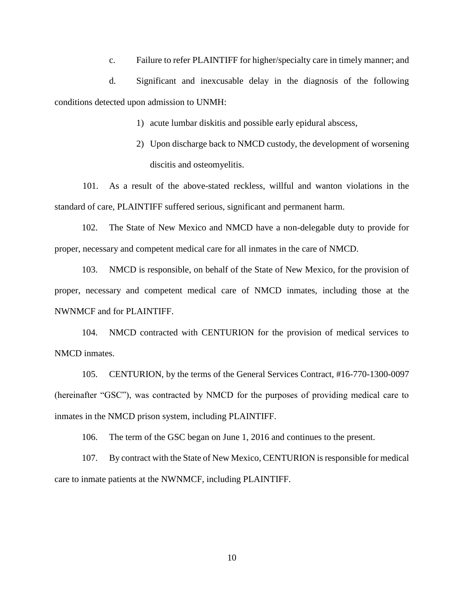c. Failure to refer PLAINTIFF for higher/specialty care in timely manner; and

d. Significant and inexcusable delay in the diagnosis of the following conditions detected upon admission to UNMH:

- 1) acute lumbar diskitis and possible early epidural abscess,
- 2) Upon discharge back to NMCD custody, the development of worsening discitis and osteomyelitis.

101. As a result of the above-stated reckless, willful and wanton violations in the standard of care, PLAINTIFF suffered serious, significant and permanent harm.

102. The State of New Mexico and NMCD have a non-delegable duty to provide for proper, necessary and competent medical care for all inmates in the care of NMCD.

103. NMCD is responsible, on behalf of the State of New Mexico, for the provision of proper, necessary and competent medical care of NMCD inmates, including those at the NWNMCF and for PLAINTIFF.

104. NMCD contracted with CENTURION for the provision of medical services to NMCD inmates.

105. CENTURION, by the terms of the General Services Contract, #16-770-1300-0097 (hereinafter "GSC"), was contracted by NMCD for the purposes of providing medical care to inmates in the NMCD prison system, including PLAINTIFF.

106. The term of the GSC began on June 1, 2016 and continues to the present.

107. By contract with the State of New Mexico, CENTURION is responsible for medical care to inmate patients at the NWNMCF, including PLAINTIFF.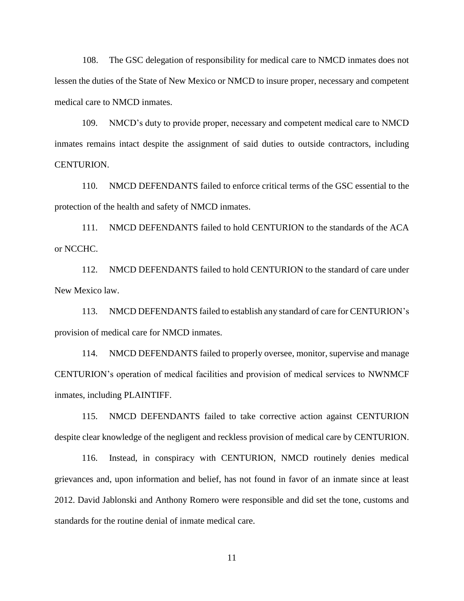108. The GSC delegation of responsibility for medical care to NMCD inmates does not lessen the duties of the State of New Mexico or NMCD to insure proper, necessary and competent medical care to NMCD inmates.

109. NMCD's duty to provide proper, necessary and competent medical care to NMCD inmates remains intact despite the assignment of said duties to outside contractors, including CENTURION.

110. NMCD DEFENDANTS failed to enforce critical terms of the GSC essential to the protection of the health and safety of NMCD inmates.

111. NMCD DEFENDANTS failed to hold CENTURION to the standards of the ACA or NCCHC.

112. NMCD DEFENDANTS failed to hold CENTURION to the standard of care under New Mexico law.

113. NMCD DEFENDANTS failed to establish any standard of care for CENTURION's provision of medical care for NMCD inmates.

114. NMCD DEFENDANTS failed to properly oversee, monitor, supervise and manage CENTURION's operation of medical facilities and provision of medical services to NWNMCF inmates, including PLAINTIFF.

115. NMCD DEFENDANTS failed to take corrective action against CENTURION despite clear knowledge of the negligent and reckless provision of medical care by CENTURION.

116. Instead, in conspiracy with CENTURION, NMCD routinely denies medical grievances and, upon information and belief, has not found in favor of an inmate since at least 2012. David Jablonski and Anthony Romero were responsible and did set the tone, customs and standards for the routine denial of inmate medical care.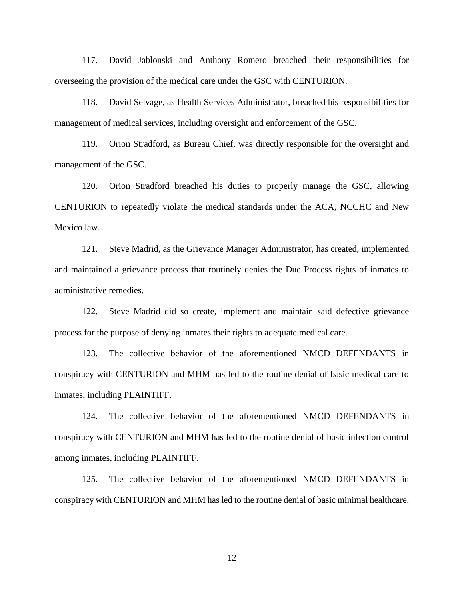117. David Jablonski and Anthony Romero breached their responsibilities for overseeing the provision of the medical care under the GSC with CENTURION.

118. David Selvage, as Health Services Administrator, breached his responsibilities for management of medical services, including oversight and enforcement of the GSC.

119. Orion Stradford, as Bureau Chief, was directly responsible for the oversight and management of the GSC.

120. Orion Stradford breached his duties to properly manage the GSC, allowing CENTURION to repeatedly violate the medical standards under the ACA, NCCHC and New Mexico law.

121. Steve Madrid, as the Grievance Manager Administrator, has created, implemented and maintained a grievance process that routinely denies the Due Process rights of inmates to administrative remedies.

122. Steve Madrid did so create, implement and maintain said defective grievance process for the purpose of denying inmates their rights to adequate medical care.

123. The collective behavior of the aforementioned NMCD DEFENDANTS in conspiracy with CENTURION and MHM has led to the routine denial of basic medical care to inmates, including PLAINTIFF.

124. The collective behavior of the aforementioned NMCD DEFENDANTS in conspiracy with CENTURION and MHM has led to the routine denial of basic infection control among inmates, including PLAINTIFF.

125. The collective behavior of the aforementioned NMCD DEFENDANTS in conspiracy with CENTURION and MHM has led to the routine denial of basic minimal healthcare.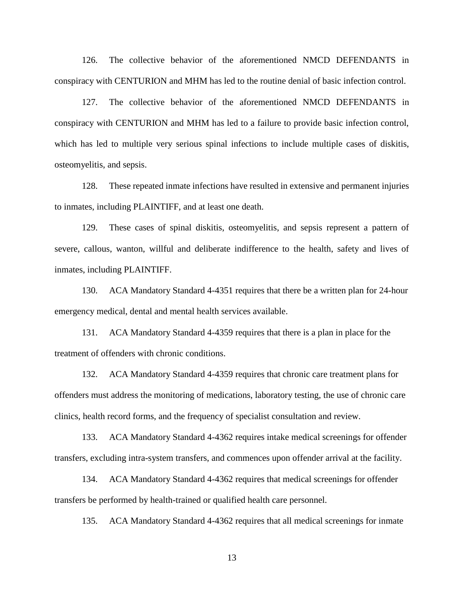126. The collective behavior of the aforementioned NMCD DEFENDANTS in conspiracy with CENTURION and MHM has led to the routine denial of basic infection control.

127. The collective behavior of the aforementioned NMCD DEFENDANTS in conspiracy with CENTURION and MHM has led to a failure to provide basic infection control, which has led to multiple very serious spinal infections to include multiple cases of diskitis, osteomyelitis, and sepsis.

128. These repeated inmate infections have resulted in extensive and permanent injuries to inmates, including PLAINTIFF, and at least one death.

129. These cases of spinal diskitis, osteomyelitis, and sepsis represent a pattern of severe, callous, wanton, willful and deliberate indifference to the health, safety and lives of inmates, including PLAINTIFF.

130. ACA Mandatory Standard 4-4351 requires that there be a written plan for 24-hour emergency medical, dental and mental health services available.

131. ACA Mandatory Standard 4-4359 requires that there is a plan in place for the treatment of offenders with chronic conditions.

132. ACA Mandatory Standard 4-4359 requires that chronic care treatment plans for offenders must address the monitoring of medications, laboratory testing, the use of chronic care clinics, health record forms, and the frequency of specialist consultation and review.

133. ACA Mandatory Standard 4-4362 requires intake medical screenings for offender transfers, excluding intra-system transfers, and commences upon offender arrival at the facility.

134. ACA Mandatory Standard 4-4362 requires that medical screenings for offender transfers be performed by health-trained or qualified health care personnel.

135. ACA Mandatory Standard 4-4362 requires that all medical screenings for inmate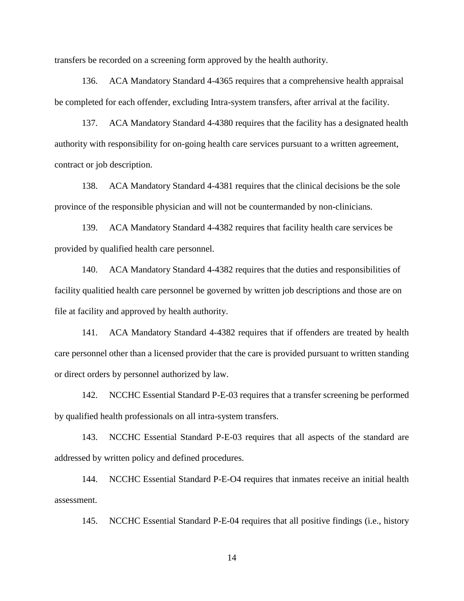transfers be recorded on a screening form approved by the health authority.

136. ACA Mandatory Standard 4-4365 requires that a comprehensive health appraisal be completed for each offender, excluding Intra-system transfers, after arrival at the facility.

137. ACA Mandatory Standard 4-4380 requires that the facility has a designated health authority with responsibility for on-going health care services pursuant to a written agreement, contract or job description.

138. ACA Mandatory Standard 4-4381 requires that the clinical decisions be the sole province of the responsible physician and will not be countermanded by non-clinicians.

139. ACA Mandatory Standard 4-4382 requires that facility health care services be provided by qualified health care personnel.

140. ACA Mandatory Standard 4-4382 requires that the duties and responsibilities of facility qualitied health care personnel be governed by written job descriptions and those are on file at facility and approved by health authority.

141. ACA Mandatory Standard 4-4382 requires that if offenders are treated by health care personnel other than a licensed provider that the care is provided pursuant to written standing or direct orders by personnel authorized by law.

142. NCCHC Essential Standard P-E-03 requires that a transfer screening be performed by qualified health professionals on all intra-system transfers.

143. NCCHC Essential Standard P-E-03 requires that all aspects of the standard are addressed by written policy and defined procedures.

144. NCCHC Essential Standard P-E-O4 requires that inmates receive an initial health assessment.

145. NCCHC Essential Standard P-E-04 requires that all positive findings (i.e., history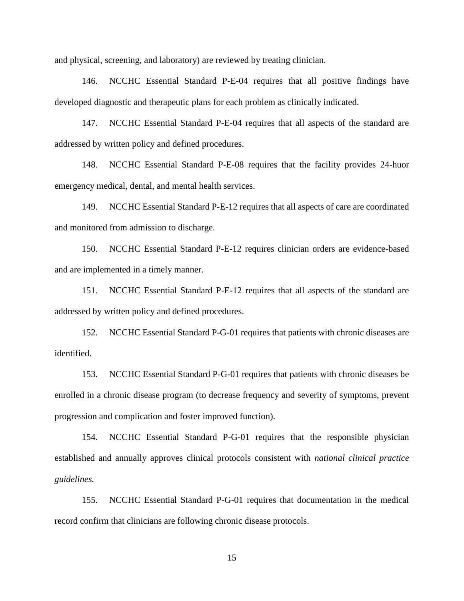and physical, screening, and laboratory) are reviewed by treating clinician.

146. NCCHC Essential Standard P-E-04 requires that all positive findings have developed diagnostic and therapeutic plans for each problem as clinically indicated.

147. NCCHC Essential Standard P-E-04 requires that all aspects of the standard are addressed by written policy and defined procedures.

148. NCCHC Essential Standard P-E-08 requires that the facility provides 24-huor emergency medical, dental, and mental health services.

149. NCCHC Essential Standard P-E-12 requires that all aspects of care are coordinated and monitored from admission to discharge.

150. NCCHC Essential Standard P-E-12 requires clinician orders are evidence-based and are implemented in a timely manner.

151. NCCHC Essential Standard P-E-12 requires that all aspects of the standard are addressed by written policy and defined procedures.

152. NCCHC Essential Standard P-G-01 requires that patients with chronic diseases are identified.

153. NCCHC Essential Standard P-G-01 requires that patients with chronic diseases be enrolled in a chronic disease program (to decrease frequency and severity of symptoms, prevent progression and complication and foster improved function).

154. NCCHC Essential Standard P-G-01 requires that the responsible physician established and annually approves clinical protocols consistent with *national clinical practice guidelines.*

155. NCCHC Essential Standard P-G-01 requires that documentation in the medical record confirm that clinicians are following chronic disease protocols.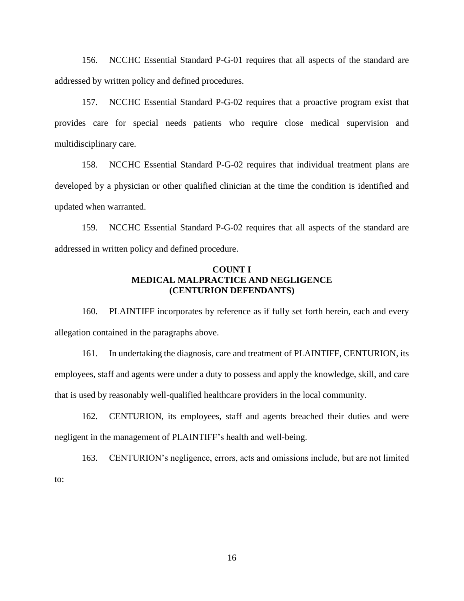156. NCCHC Essential Standard P-G-01 requires that all aspects of the standard are addressed by written policy and defined procedures.

157. NCCHC Essential Standard P-G-02 requires that a proactive program exist that provides care for special needs patients who require close medical supervision and multidisciplinary care.

158. NCCHC Essential Standard P-G-02 requires that individual treatment plans are developed by a physician or other qualified clinician at the time the condition is identified and updated when warranted.

159. NCCHC Essential Standard P-G-02 requires that all aspects of the standard are addressed in written policy and defined procedure.

# **COUNT I MEDICAL MALPRACTICE AND NEGLIGENCE (CENTURION DEFENDANTS)**

160. PLAINTIFF incorporates by reference as if fully set forth herein, each and every allegation contained in the paragraphs above.

161. In undertaking the diagnosis, care and treatment of PLAINTIFF, CENTURION, its employees, staff and agents were under a duty to possess and apply the knowledge, skill, and care that is used by reasonably well-qualified healthcare providers in the local community.

162. CENTURION, its employees, staff and agents breached their duties and were negligent in the management of PLAINTIFF's health and well-being.

163. CENTURION's negligence, errors, acts and omissions include, but are not limited to: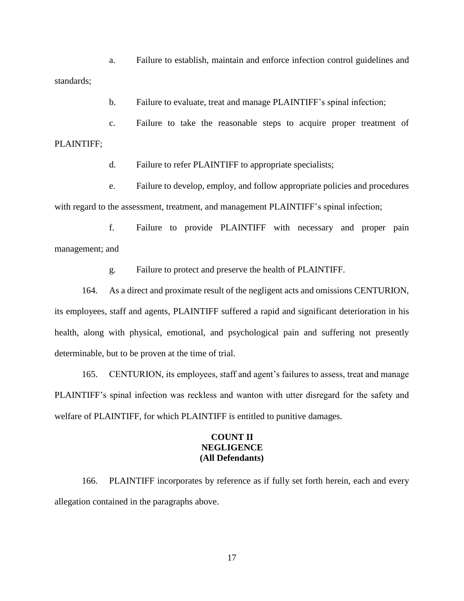a. Failure to establish, maintain and enforce infection control guidelines and standards;

b. Failure to evaluate, treat and manage PLAINTIFF's spinal infection;

c. Failure to take the reasonable steps to acquire proper treatment of PLAINTIFF;

d. Failure to refer PLAINTIFF to appropriate specialists;

e. Failure to develop, employ, and follow appropriate policies and procedures with regard to the assessment, treatment, and management PLAINTIFF's spinal infection;

f. Failure to provide PLAINTIFF with necessary and proper pain management; and

g. Failure to protect and preserve the health of PLAINTIFF.

164. As a direct and proximate result of the negligent acts and omissions CENTURION, its employees, staff and agents, PLAINTIFF suffered a rapid and significant deterioration in his health, along with physical, emotional, and psychological pain and suffering not presently determinable, but to be proven at the time of trial.

165. CENTURION, its employees, staff and agent's failures to assess, treat and manage PLAINTIFF's spinal infection was reckless and wanton with utter disregard for the safety and welfare of PLAINTIFF, for which PLAINTIFF is entitled to punitive damages.

# **COUNT II NEGLIGENCE (All Defendants)**

166. PLAINTIFF incorporates by reference as if fully set forth herein, each and every allegation contained in the paragraphs above.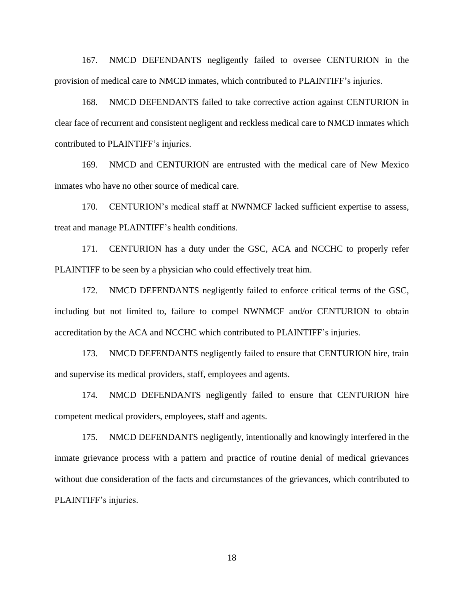167. NMCD DEFENDANTS negligently failed to oversee CENTURION in the provision of medical care to NMCD inmates, which contributed to PLAINTIFF's injuries.

168. NMCD DEFENDANTS failed to take corrective action against CENTURION in clear face of recurrent and consistent negligent and reckless medical care to NMCD inmates which contributed to PLAINTIFF's injuries.

169. NMCD and CENTURION are entrusted with the medical care of New Mexico inmates who have no other source of medical care.

170. CENTURION's medical staff at NWNMCF lacked sufficient expertise to assess, treat and manage PLAINTIFF's health conditions.

171. CENTURION has a duty under the GSC, ACA and NCCHC to properly refer PLAINTIFF to be seen by a physician who could effectively treat him.

172. NMCD DEFENDANTS negligently failed to enforce critical terms of the GSC, including but not limited to, failure to compel NWNMCF and/or CENTURION to obtain accreditation by the ACA and NCCHC which contributed to PLAINTIFF's injuries.

173. NMCD DEFENDANTS negligently failed to ensure that CENTURION hire, train and supervise its medical providers, staff, employees and agents.

174. NMCD DEFENDANTS negligently failed to ensure that CENTURION hire competent medical providers, employees, staff and agents.

175. NMCD DEFENDANTS negligently, intentionally and knowingly interfered in the inmate grievance process with a pattern and practice of routine denial of medical grievances without due consideration of the facts and circumstances of the grievances, which contributed to PLAINTIFF's injuries.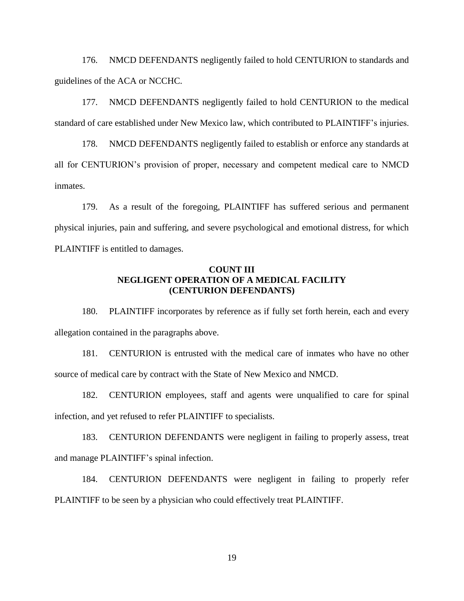176. NMCD DEFENDANTS negligently failed to hold CENTURION to standards and guidelines of the ACA or NCCHC.

177. NMCD DEFENDANTS negligently failed to hold CENTURION to the medical standard of care established under New Mexico law, which contributed to PLAINTIFF's injuries.

178. NMCD DEFENDANTS negligently failed to establish or enforce any standards at all for CENTURION's provision of proper, necessary and competent medical care to NMCD inmates.

179. As a result of the foregoing, PLAINTIFF has suffered serious and permanent physical injuries, pain and suffering, and severe psychological and emotional distress, for which PLAINTIFF is entitled to damages.

# **COUNT III NEGLIGENT OPERATION OF A MEDICAL FACILITY (CENTURION DEFENDANTS)**

180. PLAINTIFF incorporates by reference as if fully set forth herein, each and every allegation contained in the paragraphs above.

181. CENTURION is entrusted with the medical care of inmates who have no other source of medical care by contract with the State of New Mexico and NMCD.

182. CENTURION employees, staff and agents were unqualified to care for spinal infection, and yet refused to refer PLAINTIFF to specialists.

183. CENTURION DEFENDANTS were negligent in failing to properly assess, treat and manage PLAINTIFF's spinal infection.

184. CENTURION DEFENDANTS were negligent in failing to properly refer PLAINTIFF to be seen by a physician who could effectively treat PLAINTIFF.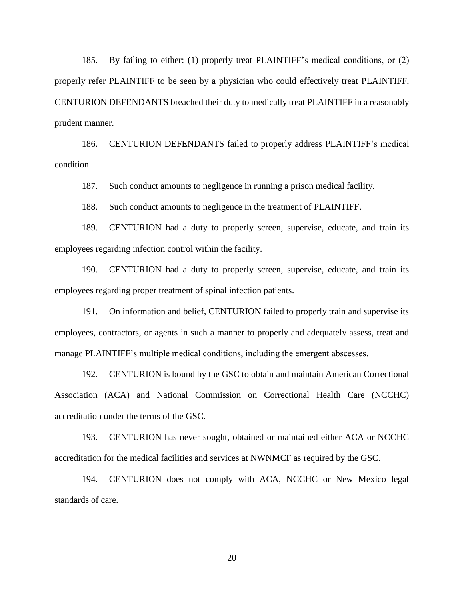185. By failing to either: (1) properly treat PLAINTIFF's medical conditions, or (2) properly refer PLAINTIFF to be seen by a physician who could effectively treat PLAINTIFF, CENTURION DEFENDANTS breached their duty to medically treat PLAINTIFF in a reasonably prudent manner.

186. CENTURION DEFENDANTS failed to properly address PLAINTIFF's medical condition.

187. Such conduct amounts to negligence in running a prison medical facility.

188. Such conduct amounts to negligence in the treatment of PLAINTIFF.

189. CENTURION had a duty to properly screen, supervise, educate, and train its employees regarding infection control within the facility.

190. CENTURION had a duty to properly screen, supervise, educate, and train its employees regarding proper treatment of spinal infection patients.

191. On information and belief, CENTURION failed to properly train and supervise its employees, contractors, or agents in such a manner to properly and adequately assess, treat and manage PLAINTIFF's multiple medical conditions, including the emergent abscesses.

192. CENTURION is bound by the GSC to obtain and maintain American Correctional Association (ACA) and National Commission on Correctional Health Care (NCCHC) accreditation under the terms of the GSC.

193. CENTURION has never sought, obtained or maintained either ACA or NCCHC accreditation for the medical facilities and services at NWNMCF as required by the GSC.

194. CENTURION does not comply with ACA, NCCHC or New Mexico legal standards of care.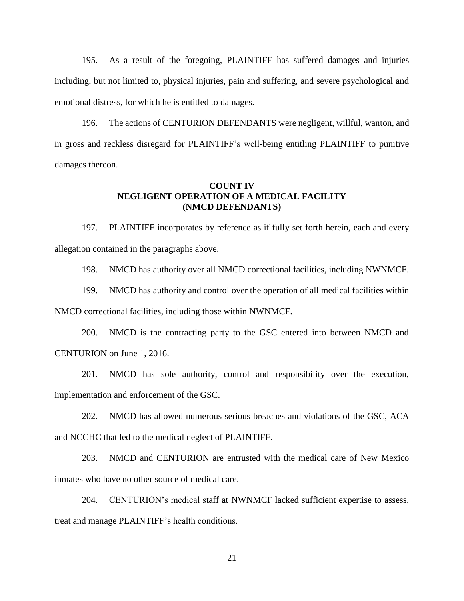195. As a result of the foregoing, PLAINTIFF has suffered damages and injuries including, but not limited to, physical injuries, pain and suffering, and severe psychological and emotional distress, for which he is entitled to damages.

196. The actions of CENTURION DEFENDANTS were negligent, willful, wanton, and in gross and reckless disregard for PLAINTIFF's well-being entitling PLAINTIFF to punitive damages thereon.

### **COUNT IV NEGLIGENT OPERATION OF A MEDICAL FACILITY (NMCD DEFENDANTS)**

197. PLAINTIFF incorporates by reference as if fully set forth herein, each and every allegation contained in the paragraphs above.

198. NMCD has authority over all NMCD correctional facilities, including NWNMCF.

199. NMCD has authority and control over the operation of all medical facilities within NMCD correctional facilities, including those within NWNMCF.

200. NMCD is the contracting party to the GSC entered into between NMCD and CENTURION on June 1, 2016.

201. NMCD has sole authority, control and responsibility over the execution, implementation and enforcement of the GSC.

202. NMCD has allowed numerous serious breaches and violations of the GSC, ACA and NCCHC that led to the medical neglect of PLAINTIFF.

203. NMCD and CENTURION are entrusted with the medical care of New Mexico inmates who have no other source of medical care.

204. CENTURION's medical staff at NWNMCF lacked sufficient expertise to assess, treat and manage PLAINTIFF's health conditions.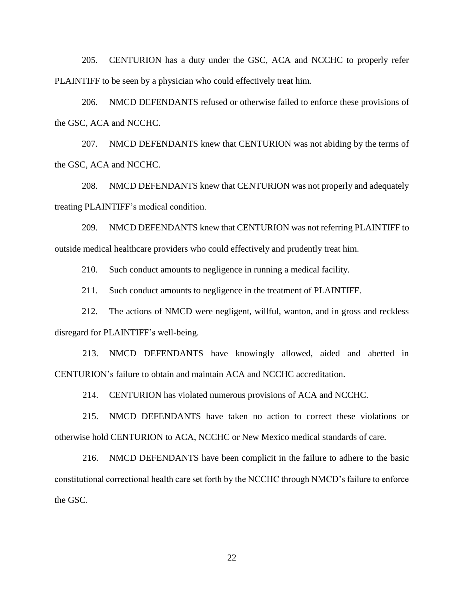205. CENTURION has a duty under the GSC, ACA and NCCHC to properly refer PLAINTIFF to be seen by a physician who could effectively treat him.

206. NMCD DEFENDANTS refused or otherwise failed to enforce these provisions of the GSC, ACA and NCCHC.

207. NMCD DEFENDANTS knew that CENTURION was not abiding by the terms of the GSC, ACA and NCCHC.

208. NMCD DEFENDANTS knew that CENTURION was not properly and adequately treating PLAINTIFF's medical condition.

209. NMCD DEFENDANTS knew that CENTURION was not referring PLAINTIFF to outside medical healthcare providers who could effectively and prudently treat him.

210. Such conduct amounts to negligence in running a medical facility.

211. Such conduct amounts to negligence in the treatment of PLAINTIFF.

212. The actions of NMCD were negligent, willful, wanton, and in gross and reckless disregard for PLAINTIFF's well-being.

213. NMCD DEFENDANTS have knowingly allowed, aided and abetted in CENTURION's failure to obtain and maintain ACA and NCCHC accreditation.

214. CENTURION has violated numerous provisions of ACA and NCCHC.

215. NMCD DEFENDANTS have taken no action to correct these violations or otherwise hold CENTURION to ACA, NCCHC or New Mexico medical standards of care.

216. NMCD DEFENDANTS have been complicit in the failure to adhere to the basic constitutional correctional health care set forth by the NCCHC through NMCD's failure to enforce the GSC.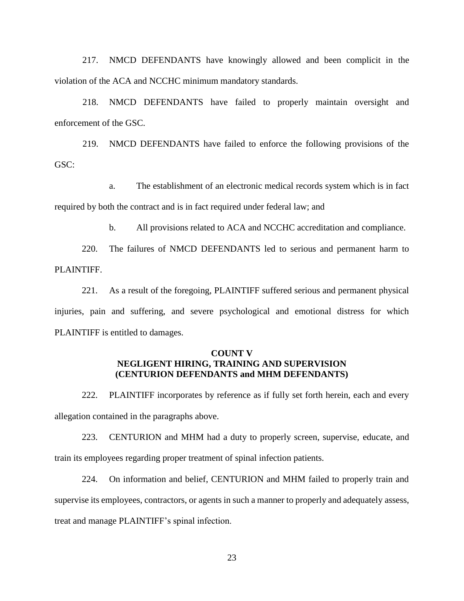217. NMCD DEFENDANTS have knowingly allowed and been complicit in the violation of the ACA and NCCHC minimum mandatory standards.

218. NMCD DEFENDANTS have failed to properly maintain oversight and enforcement of the GSC.

219. NMCD DEFENDANTS have failed to enforce the following provisions of the GSC:

a. The establishment of an electronic medical records system which is in fact required by both the contract and is in fact required under federal law; and

b. All provisions related to ACA and NCCHC accreditation and compliance.

220. The failures of NMCD DEFENDANTS led to serious and permanent harm to PLAINTIFF.

221. As a result of the foregoing, PLAINTIFF suffered serious and permanent physical injuries, pain and suffering, and severe psychological and emotional distress for which PLAINTIFF is entitled to damages.

# **COUNT V NEGLIGENT HIRING, TRAINING AND SUPERVISION (CENTURION DEFENDANTS and MHM DEFENDANTS)**

222. PLAINTIFF incorporates by reference as if fully set forth herein, each and every allegation contained in the paragraphs above.

223. CENTURION and MHM had a duty to properly screen, supervise, educate, and train its employees regarding proper treatment of spinal infection patients.

224. On information and belief, CENTURION and MHM failed to properly train and supervise its employees, contractors, or agents in such a manner to properly and adequately assess, treat and manage PLAINTIFF's spinal infection.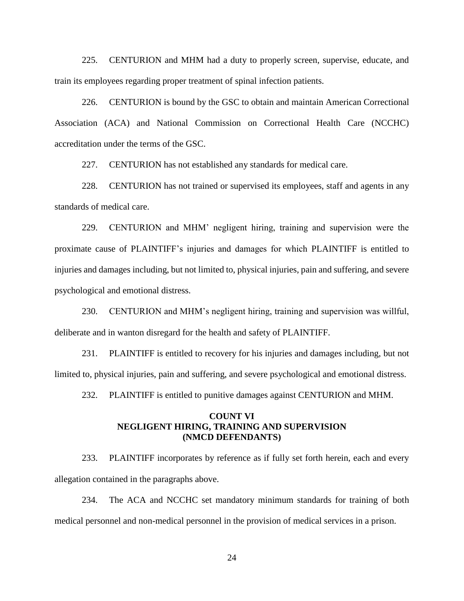225. CENTURION and MHM had a duty to properly screen, supervise, educate, and train its employees regarding proper treatment of spinal infection patients.

226. CENTURION is bound by the GSC to obtain and maintain American Correctional Association (ACA) and National Commission on Correctional Health Care (NCCHC) accreditation under the terms of the GSC.

227. CENTURION has not established any standards for medical care.

228. CENTURION has not trained or supervised its employees, staff and agents in any standards of medical care.

229. CENTURION and MHM' negligent hiring, training and supervision were the proximate cause of PLAINTIFF's injuries and damages for which PLAINTIFF is entitled to injuries and damages including, but not limited to, physical injuries, pain and suffering, and severe psychological and emotional distress.

230. CENTURION and MHM's negligent hiring, training and supervision was willful, deliberate and in wanton disregard for the health and safety of PLAINTIFF.

231. PLAINTIFF is entitled to recovery for his injuries and damages including, but not limited to, physical injuries, pain and suffering, and severe psychological and emotional distress.

232. PLAINTIFF is entitled to punitive damages against CENTURION and MHM.

#### **COUNT VI NEGLIGENT HIRING, TRAINING AND SUPERVISION (NMCD DEFENDANTS)**

233. PLAINTIFF incorporates by reference as if fully set forth herein, each and every allegation contained in the paragraphs above.

234. The ACA and NCCHC set mandatory minimum standards for training of both medical personnel and non-medical personnel in the provision of medical services in a prison.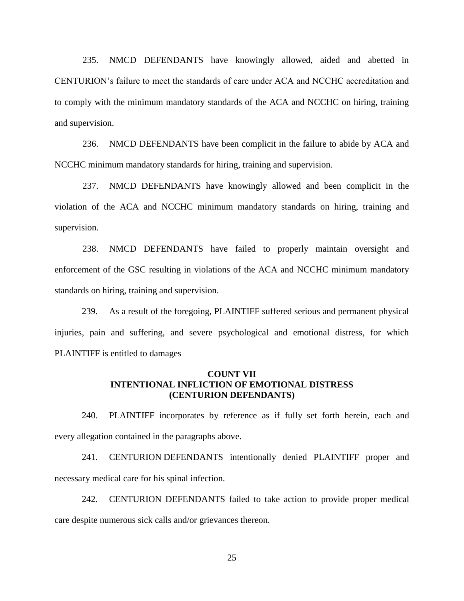235. NMCD DEFENDANTS have knowingly allowed, aided and abetted in CENTURION's failure to meet the standards of care under ACA and NCCHC accreditation and to comply with the minimum mandatory standards of the ACA and NCCHC on hiring, training and supervision.

236. NMCD DEFENDANTS have been complicit in the failure to abide by ACA and NCCHC minimum mandatory standards for hiring, training and supervision.

237. NMCD DEFENDANTS have knowingly allowed and been complicit in the violation of the ACA and NCCHC minimum mandatory standards on hiring, training and supervision.

238. NMCD DEFENDANTS have failed to properly maintain oversight and enforcement of the GSC resulting in violations of the ACA and NCCHC minimum mandatory standards on hiring, training and supervision.

239. As a result of the foregoing, PLAINTIFF suffered serious and permanent physical injuries, pain and suffering, and severe psychological and emotional distress, for which PLAINTIFF is entitled to damages

#### **COUNT VII INTENTIONAL INFLICTION OF EMOTIONAL DISTRESS (CENTURION DEFENDANTS)**

240. PLAINTIFF incorporates by reference as if fully set forth herein, each and every allegation contained in the paragraphs above.

241. CENTURION DEFENDANTS intentionally denied PLAINTIFF proper and necessary medical care for his spinal infection.

242. CENTURION DEFENDANTS failed to take action to provide proper medical care despite numerous sick calls and/or grievances thereon.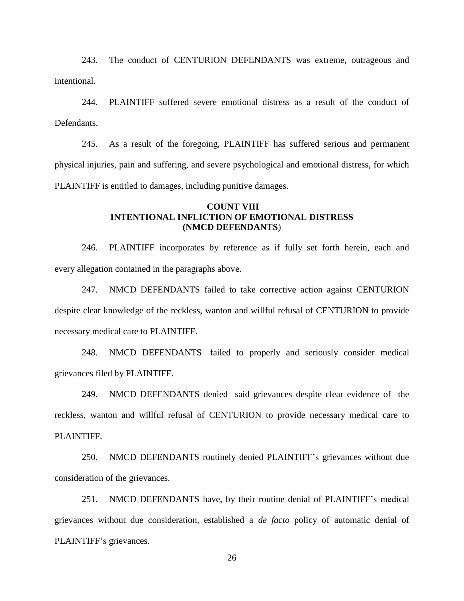243. The conduct of CENTURION DEFENDANTS was extreme, outrageous and intentional.

244. PLAINTIFF suffered severe emotional distress as a result of the conduct of Defendants.

245. As a result of the foregoing, PLAINTIFF has suffered serious and permanent physical injuries, pain and suffering, and severe psychological and emotional distress, for which PLAINTIFF is entitled to damages, including punitive damages.

### **COUNT VIII INTENTIONAL INFLICTION OF EMOTIONAL DISTRESS (NMCD DEFENDANTS**)

246. PLAINTIFF incorporates by reference as if fully set forth herein, each and every allegation contained in the paragraphs above.

247. NMCD DEFENDANTS failed to take corrective action against CENTURION despite clear knowledge of the reckless, wanton and willful refusal of CENTURION to provide necessary medical care to PLAINTIFF.

248. NMCD DEFENDANTS failed to properly and seriously consider medical grievances filed by PLAINTIFF.

249. NMCD DEFENDANTS denied said grievances despite clear evidence of the reckless, wanton and willful refusal of CENTURION to provide necessary medical care to PLAINTIFF.

250. NMCD DEFENDANTS routinely denied PLAINTIFF's grievances without due consideration of the grievances.

251. NMCD DEFENDANTS have, by their routine denial of PLAINTIFF's medical grievances without due consideration, established a *de facto* policy of automatic denial of PLAINTIFF's grievances.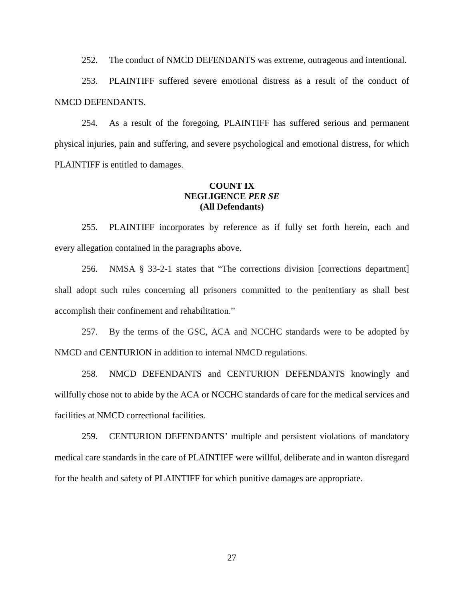252. The conduct of NMCD DEFENDANTS was extreme, outrageous and intentional.

253. PLAINTIFF suffered severe emotional distress as a result of the conduct of NMCD DEFENDANTS.

254. As a result of the foregoing, PLAINTIFF has suffered serious and permanent physical injuries, pain and suffering, and severe psychological and emotional distress, for which PLAINTIFF is entitled to damages.

# **COUNT IX NEGLIGENCE** *PER SE* **(All Defendants)**

255. PLAINTIFF incorporates by reference as if fully set forth herein, each and every allegation contained in the paragraphs above.

256. NMSA § 33-2-1 states that "The corrections division [corrections department] shall adopt such rules concerning all prisoners committed to the penitentiary as shall best accomplish their confinement and rehabilitation."

257. By the terms of the GSC, ACA and NCCHC standards were to be adopted by NMCD and CENTURION in addition to internal NMCD regulations.

258. NMCD DEFENDANTS and CENTURION DEFENDANTS knowingly and willfully chose not to abide by the ACA or NCCHC standards of care for the medical services and facilities at NMCD correctional facilities.

259. CENTURION DEFENDANTS' multiple and persistent violations of mandatory medical care standards in the care of PLAINTIFF were willful, deliberate and in wanton disregard for the health and safety of PLAINTIFF for which punitive damages are appropriate.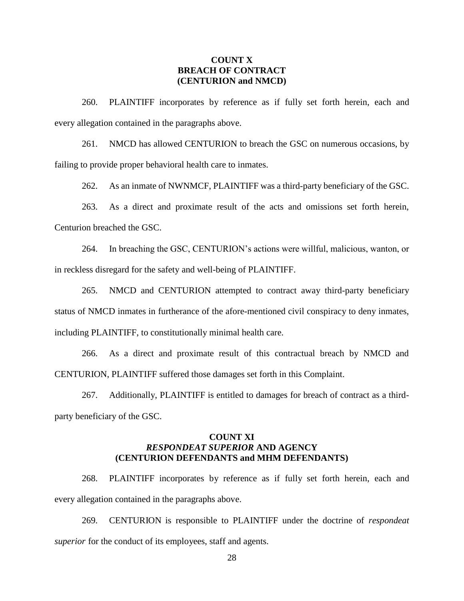#### **COUNT X BREACH OF CONTRACT (CENTURION and NMCD)**

260. PLAINTIFF incorporates by reference as if fully set forth herein, each and every allegation contained in the paragraphs above.

261. NMCD has allowed CENTURION to breach the GSC on numerous occasions, by failing to provide proper behavioral health care to inmates.

262. As an inmate of NWNMCF, PLAINTIFF was a third-party beneficiary of the GSC.

263. As a direct and proximate result of the acts and omissions set forth herein, Centurion breached the GSC.

264. In breaching the GSC, CENTURION's actions were willful, malicious, wanton, or in reckless disregard for the safety and well-being of PLAINTIFF.

265. NMCD and CENTURION attempted to contract away third-party beneficiary status of NMCD inmates in furtherance of the afore-mentioned civil conspiracy to deny inmates, including PLAINTIFF, to constitutionally minimal health care.

266. As a direct and proximate result of this contractual breach by NMCD and CENTURION, PLAINTIFF suffered those damages set forth in this Complaint.

267. Additionally, PLAINTIFF is entitled to damages for breach of contract as a thirdparty beneficiary of the GSC.

### **COUNT XI** *RESPONDEAT SUPERIOR* **AND AGENCY (CENTURION DEFENDANTS and MHM DEFENDANTS)**

268. PLAINTIFF incorporates by reference as if fully set forth herein, each and every allegation contained in the paragraphs above.

269. CENTURION is responsible to PLAINTIFF under the doctrine of *respondeat superior* for the conduct of its employees, staff and agents.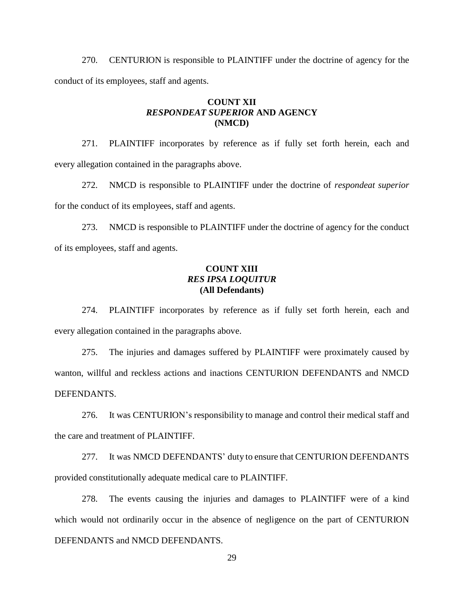270. CENTURION is responsible to PLAINTIFF under the doctrine of agency for the conduct of its employees, staff and agents.

### **COUNT XII** *RESPONDEAT SUPERIOR* **AND AGENCY (NMCD)**

271. PLAINTIFF incorporates by reference as if fully set forth herein, each and every allegation contained in the paragraphs above.

272. NMCD is responsible to PLAINTIFF under the doctrine of *respondeat superior* for the conduct of its employees, staff and agents.

273. NMCD is responsible to PLAINTIFF under the doctrine of agency for the conduct of its employees, staff and agents.

# **COUNT XIII** *RES IPSA LOQUITUR* **(All Defendants)**

274. PLAINTIFF incorporates by reference as if fully set forth herein, each and every allegation contained in the paragraphs above.

275. The injuries and damages suffered by PLAINTIFF were proximately caused by wanton, willful and reckless actions and inactions CENTURION DEFENDANTS and NMCD DEFENDANTS.

276. It was CENTURION's responsibility to manage and control their medical staff and the care and treatment of PLAINTIFF.

277. It was NMCD DEFENDANTS' duty to ensure that CENTURION DEFENDANTS provided constitutionally adequate medical care to PLAINTIFF.

278. The events causing the injuries and damages to PLAINTIFF were of a kind which would not ordinarily occur in the absence of negligence on the part of CENTURION DEFENDANTS and NMCD DEFENDANTS.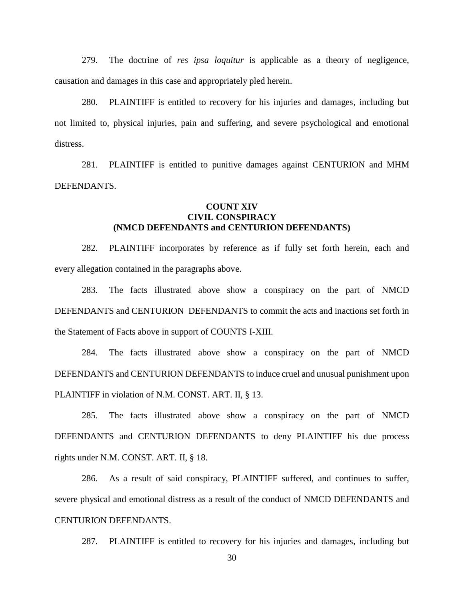279. The doctrine of *res ipsa loquitur* is applicable as a theory of negligence, causation and damages in this case and appropriately pled herein.

280. PLAINTIFF is entitled to recovery for his injuries and damages, including but not limited to, physical injuries, pain and suffering, and severe psychological and emotional distress.

281. PLAINTIFF is entitled to punitive damages against CENTURION and MHM DEFENDANTS.

### **COUNT XIV CIVIL CONSPIRACY (NMCD DEFENDANTS and CENTURION DEFENDANTS)**

282. PLAINTIFF incorporates by reference as if fully set forth herein, each and every allegation contained in the paragraphs above.

283. The facts illustrated above show a conspiracy on the part of NMCD DEFENDANTS and CENTURION DEFENDANTS to commit the acts and inactions set forth in the Statement of Facts above in support of COUNTS I-XIII.

284. The facts illustrated above show a conspiracy on the part of NMCD DEFENDANTS and CENTURION DEFENDANTS to induce cruel and unusual punishment upon PLAINTIFF in violation of N.M. CONST. ART. II, § 13.

285. The facts illustrated above show a conspiracy on the part of NMCD DEFENDANTS and CENTURION DEFENDANTS to deny PLAINTIFF his due process rights under N.M. CONST. ART. II, § 18.

286. As a result of said conspiracy, PLAINTIFF suffered, and continues to suffer, severe physical and emotional distress as a result of the conduct of NMCD DEFENDANTS and CENTURION DEFENDANTS.

287. PLAINTIFF is entitled to recovery for his injuries and damages, including but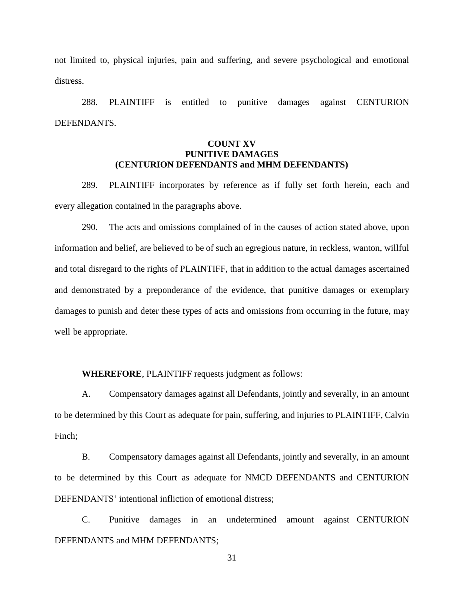not limited to, physical injuries, pain and suffering, and severe psychological and emotional distress.

288. PLAINTIFF is entitled to punitive damages against CENTURION DEFENDANTS.

# **COUNT XV PUNITIVE DAMAGES (CENTURION DEFENDANTS and MHM DEFENDANTS)**

289. PLAINTIFF incorporates by reference as if fully set forth herein, each and every allegation contained in the paragraphs above.

290. The acts and omissions complained of in the causes of action stated above, upon information and belief, are believed to be of such an egregious nature, in reckless, wanton, willful and total disregard to the rights of PLAINTIFF, that in addition to the actual damages ascertained and demonstrated by a preponderance of the evidence, that punitive damages or exemplary damages to punish and deter these types of acts and omissions from occurring in the future, may well be appropriate.

**WHEREFORE**, PLAINTIFF requests judgment as follows:

A. Compensatory damages against all Defendants, jointly and severally, in an amount to be determined by this Court as adequate for pain, suffering, and injuries to PLAINTIFF, Calvin Finch;

B. Compensatory damages against all Defendants, jointly and severally, in an amount to be determined by this Court as adequate for NMCD DEFENDANTS and CENTURION DEFENDANTS' intentional infliction of emotional distress;

C. Punitive damages in an undetermined amount against CENTURION DEFENDANTS and MHM DEFENDANTS;